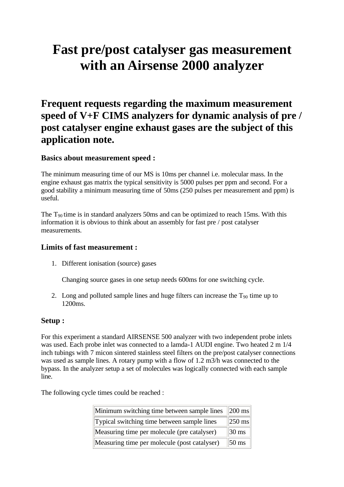# **Fast pre/post catalyser gas measurement with an Airsense 2000 analyzer**

# **Frequent requests regarding the maximum measurement speed of V+F CIMS analyzers for dynamic analysis of pre / post catalyser engine exhaust gases are the subject of this application note.**

## **Basics about measurement speed :**

The minimum measuring time of our MS is 10ms per channel i.e. molecular mass. In the engine exhaust gas matrix the typical sensitivity is 5000 pulses per ppm and second. For a good stability a minimum measuring time of 50ms (250 pulses per measurement and ppm) is useful.

The  $T_{90}$  time is in standard analyzers 50ms and can be optimized to reach 15ms. With this information it is obvious to think about an assembly for fast pre / post catalyser measurements.

#### **Limits of fast measurement :**

1. Different ionisation (source) gases

Changing source gases in one setup needs 600ms for one switching cycle.

2. Long and polluted sample lines and huge filters can increase the  $T_{90}$  time up to 1200ms.

## **Setup :**

For this experiment a standard AIRSENSE 500 analyzer with two independent probe inlets was used. Each probe inlet was connected to a lamda-1 AUDI engine. Two heated 2 m 1/4 inch tubings with 7 micon sintered stainless steel filters on the pre/post catalyser connections was used as sample lines. A rotary pump with a flow of 1.2 m3/h was connected to the bypass. In the analyzer setup a set of molecules was logically connected with each sample line.

The following cycle times could be reached :

| Minimum switching time between sample lines                  | $\vert$ 200 ms $\vert$ |
|--------------------------------------------------------------|------------------------|
| Typical switching time between sample lines                  | $\vert$ 250 ms $\vert$ |
| $\vert$ 30 ms<br>Measuring time per molecule (pre catalyser) |                        |
| Measuring time per molecule (post catalyser)                 | $50 \text{ ms}$        |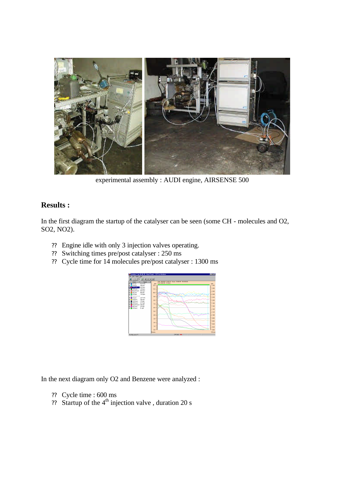

experimental assembly : AUDI engine, AIRSENSE 500

# **Results :**

In the first diagram the startup of the catalyser can be seen (some CH - molecules and O2, SO2, NO2).

- ?? Engine idle with only 3 injection valves operating.
- ?? Switching times pre/post catalyser : 250 ms
- ?? Cycle time for 14 molecules pre/post catalyser : 1300 ms



In the next diagram only O2 and Benzene were analyzed :

- ?? Cycle time : 600 ms
- ?? Startup of the  $4<sup>th</sup>$  injection valve, duration 20 s